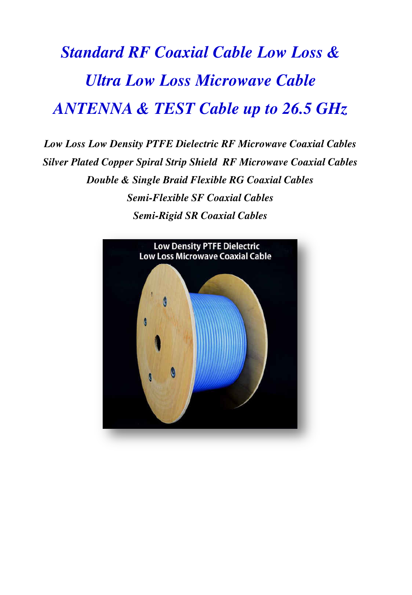# *Standard RF Coaxial Cable Low Loss & Ultra Low Loss Microwave Cable ANTENNA & TEST Cable up to 26.5 GHz*

*Low Loss Low Density PTFE Dielectric RF Microwave Coaxial Cables Silver Plated Copper Spiral Strip Shield RF Microwave Coaxial Cables Double & Single Braid Flexible RG Coaxial Cables Semi-Flexible SF Coaxial Cables Semi-Rigid SR Coaxial Cables* 

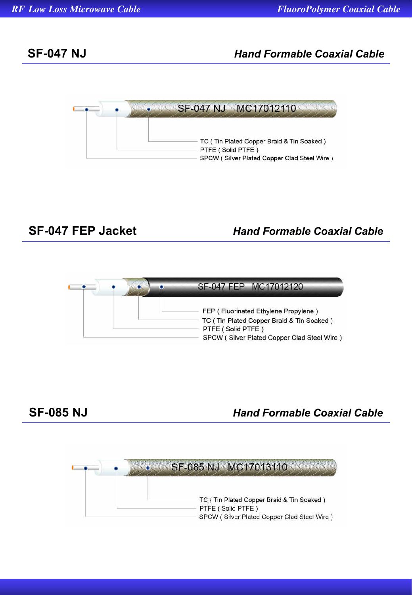## **SF-047 NJ** *Hand Formable Coaxial Cable*



# **SF-047 FEP Jacket** *Hand Formable Coaxial Cable*



### **SF-085 NJ** *Hand Formable Coaxial Cable*

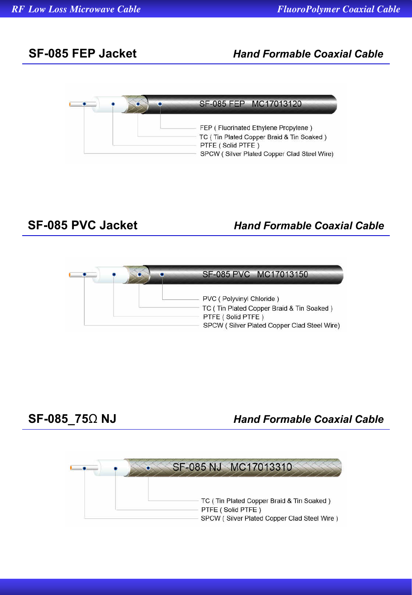### **SF-085 FEP Jacket** *Hand Formable Coaxial Cable*



### **SF-085 PVC Jacket** *Hand Formable Coaxial Cable*



**SF-085\_75**Ω **NJ** *Hand Formable Coaxial Cable*

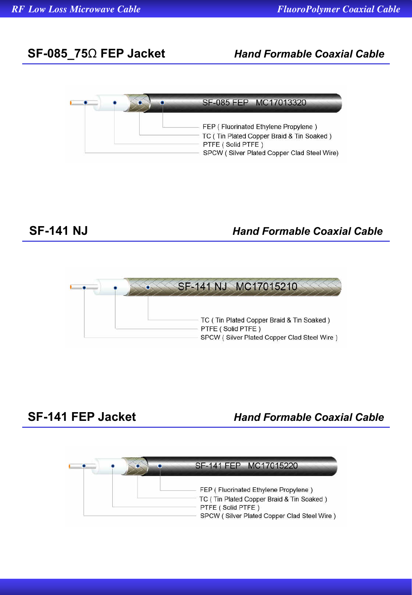### **SF-085\_75**Ω **FEP Jacket** *Hand Formable Coaxial Cable*



### **SF-141 NJ** *Hand Formable Coaxial Cable*



**SF-141 FEP Jacket** *Hand Formable Coaxial Cable*

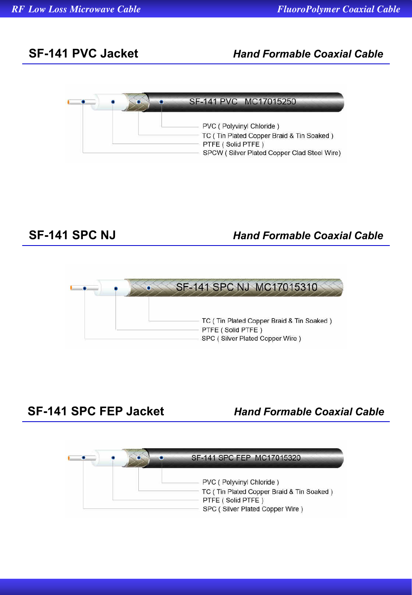## **SF-141 PVC Jacket** *Hand Formable Coaxial Cable*



## **SF-141 SPC NJ** *Hand Formable Coaxial Cable*



### **SF-141 SPC FEP Jacket** *Hand Formable Coaxial Cable*

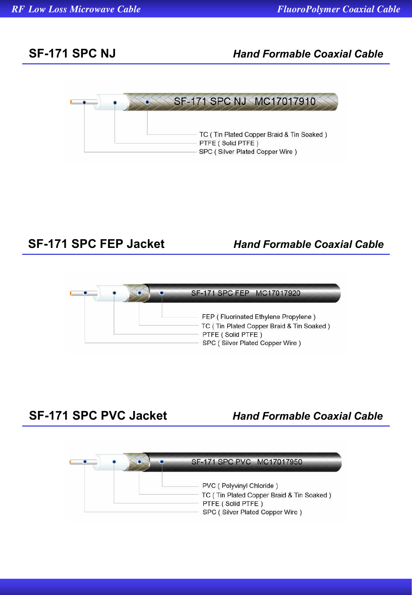# **SF-171 SPC NJ** *Hand Formable Coaxial Cable*



**SF-171 SPC FEP Jacket** *Hand Formable Coaxial Cable*



**SF-171 SPC PVC Jacket** *Hand Formable Coaxial Cable*